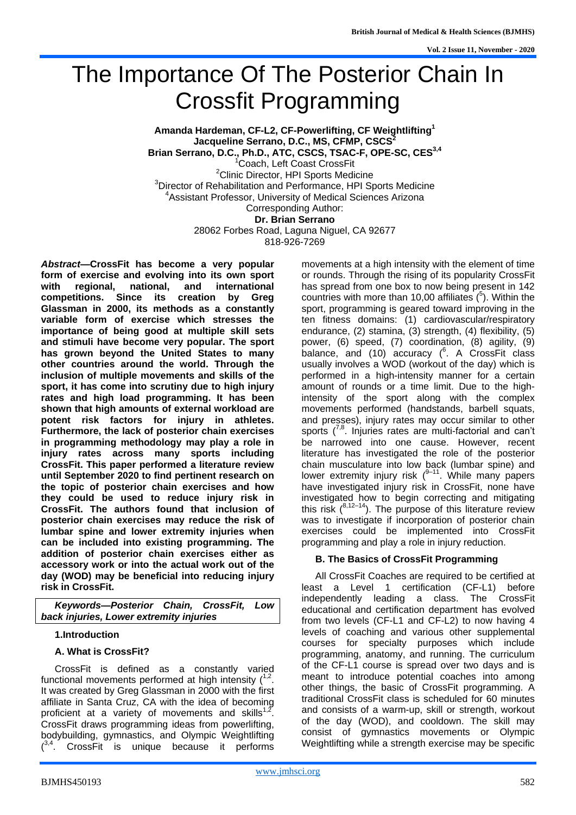# The Importance Of The Posterior Chain In Crossfit Programming

**Amanda Hardeman, CF-L2, CF-Powerlifting, CF Weightlifting<sup>1</sup> Jacqueline Serrano, D.C., MS, CFMP, CSCS<sup>2</sup> Brian Serrano, D.C., Ph.D., ATC, CSCS, TSAC-F, OPE-SC, CES3,4** <sup>1</sup>Coach, Left Coast CrossFit <sup>2</sup>Clinic Director, HPI Sports Medicine <sup>3</sup>Director of Rehabilitation and Performance, HPI Sports Medicine <sup>4</sup>Assistant Professor, University of Medical Sciences Arizona Corresponding Author: **Dr. Brian Serrano** 28062 Forbes Road, Laguna Niguel, CA 92677 818-926-7269

*Abstract***—CrossFit has become a very popular form of exercise and evolving into its own sport with regional, national, and international competitions. Since its creation by Greg Glassman in 2000, its methods as a constantly variable form of exercise which stresses the importance of being good at multiple skill sets and stimuli have become very popular. The sport has grown beyond the United States to many other countries around the world. Through the inclusion of multiple movements and skills of the sport, it has come into scrutiny due to high injury rates and high load programming. It has been shown that high amounts of external workload are potent risk factors for injury in athletes. Furthermore, the lack of posterior chain exercises in programming methodology may play a role in injury rates across many sports including CrossFit. This paper performed a literature review until September 2020 to find pertinent research on the topic of posterior chain exercises and how they could be used to reduce injury risk in CrossFit. The authors found that inclusion of posterior chain exercises may reduce the risk of lumbar spine and lower extremity injuries when can be included into existing programming. The addition of posterior chain exercises either as accessory work or into the actual work out of the day (WOD) may be beneficial into reducing injury risk in CrossFit.**

*Keywords—Posterior Chain, CrossFit, Low back injuries, Lower extremity injuries*

#### **1.Introduction**

# **A. What is CrossFit?**

CrossFit is defined as a constantly varied functional movements performed at high intensity  $(1,2)$ . It was created by Greg Glassman in 2000 with the first affiliate in Santa Cruz, CA with the idea of becoming proficient at a variety of movements and skills<sup>1,2</sup>. CrossFit draws programming ideas from powerlifting, bodybuilding, gymnastics, and Olympic Weightlifting  $(3,4)$  CrossFit is unique because it performs movements at a high intensity with the element of time or rounds. Through the rising of its popularity CrossFit has spread from one box to now being present in 142 countries with more than 10,00 affiliates  $(^5)$ . Within the sport, programming is geared toward improving in the ten fitness domains: (1) cardiovascular/respiratory endurance, (2) stamina, (3) strength, (4) flexibility, (5) power, (6) speed, (7) coordination, (8) agility, (9) balance, and (10) accuracy (<sup>6</sup> A CrossFit class usually involves a WOD (workout of the day) which is performed in a high-intensity manner for a certain amount of rounds or a time limit. Due to the highintensity of the sport along with the complex movements performed (handstands, barbell squats, and presses), injury rates may occur similar to other sports (<sup>7,8</sup>. Injuries rates are multi-factorial and can't be narrowed into one cause. However, recent literature has investigated the role of the posterior chain musculature into low back (lumbar spine) and lower extremity injury risk  $(8-1)$ <sup>4</sup>. While many papers have investigated injury risk in CrossFit, none have investigated how to begin correcting and mitigating this risk  $(8.12-14)$ . The purpose of this literature review was to investigate if incorporation of posterior chain exercises could be implemented into CrossFit programming and play a role in injury reduction.

# **B. The Basics of CrossFit Programming**

All CrossFit Coaches are required to be certified at least a Level 1 certification (CF-L1) before independently leading a class. The CrossFit educational and certification department has evolved from two levels (CF-L1 and CF-L2) to now having 4 levels of coaching and various other supplemental courses for specialty purposes which include programming, anatomy, and running. The curriculum of the CF-L1 course is spread over two days and is meant to introduce potential coaches into among other things, the basic of CrossFit programming. A traditional CrossFit class is scheduled for 60 minutes and consists of a warm-up, skill or strength, workout of the day (WOD), and cooldown. The skill may consist of gymnastics movements or Olympic Weightlifting while a strength exercise may be specific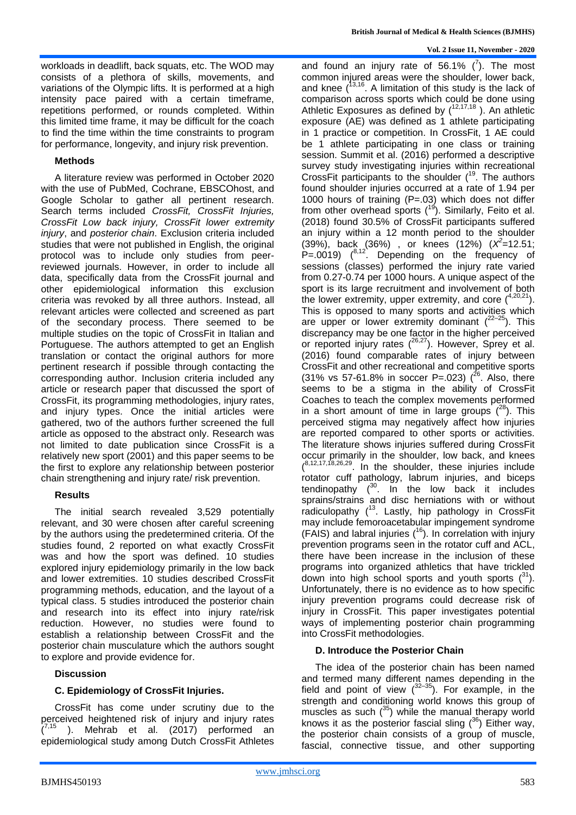workloads in deadlift, back squats, etc. The WOD may consists of a plethora of skills, movements, and variations of the Olympic lifts. It is performed at a high intensity pace paired with a certain timeframe, repetitions performed, or rounds completed. Within this limited time frame, it may be difficult for the coach to find the time within the time constraints to program for performance, longevity, and injury risk prevention.

# **Methods**

A literature review was performed in October 2020 with the use of PubMed, Cochrane, EBSCOhost, and Google Scholar to gather all pertinent research. Search terms included *CrossFit, CrossFit Injuries, CrossFit Low back injury, CrossFit lower extremity injury*, and *posterior chain*. Exclusion criteria included studies that were not published in English, the original protocol was to include only studies from peerreviewed journals. However, in order to include all data, specifically data from the CrossFit journal and other epidemiological information this exclusion criteria was revoked by all three authors. Instead, all relevant articles were collected and screened as part of the secondary process. There seemed to be multiple studies on the topic of CrossFit in Italian and Portuguese. The authors attempted to get an English translation or contact the original authors for more pertinent research if possible through contacting the corresponding author. Inclusion criteria included any article or research paper that discussed the sport of CrossFit, its programming methodologies, injury rates, and injury types. Once the initial articles were gathered, two of the authors further screened the full article as opposed to the abstract only. Research was not limited to date publication since CrossFit is a relatively new sport (2001) and this paper seems to be the first to explore any relationship between posterior chain strengthening and injury rate/ risk prevention.

# **Results**

The initial search revealed 3,529 potentially relevant, and 30 were chosen after careful screening by the authors using the predetermined criteria. Of the studies found, 2 reported on what exactly CrossFit was and how the sport was defined. 10 studies explored injury epidemiology primarily in the low back and lower extremities. 10 studies described CrossFit programming methods, education, and the layout of a typical class. 5 studies introduced the posterior chain and research into its effect into injury rate/risk reduction. However, no studies were found to establish a relationship between CrossFit and the posterior chain musculature which the authors sought to explore and provide evidence for.

# **Discussion**

# **C. Epidemiology of CrossFit Injuries.**

CrossFit has come under scrutiny due to the perceived heightened risk of injury and injury rates  $(7.15)$ . Mehrab et al.  $(2017)$  performed an epidemiological study among Dutch CrossFit Athletes

and found an injury rate of 56.1%  $(^{7})$ . The most common injured areas were the shoulder, lower back, and knee  $(13,16)$ . A limitation of this study is the lack of comparison across sports which could be done using Athletic Exposures as defined by  $(^{12,17,18}$  ). An athletic exposure (AE) was defined as 1 athlete participating in 1 practice or competition. In CrossFit, 1 AE could be 1 athlete participating in one class or training session. Summit et al. (2016) performed a descriptive survey study investigating injuries within recreational CrossFit participants to the shoulder  $(19)$ . The authors found shoulder injuries occurred at a rate of 1.94 per 1000 hours of training (P=.03) which does not differ from other overhead sports  $(^{19})$ . Similarly, Feito et al. (2018) found 30.5% of CrossFit participants suffered an injury within a 12 month period to the shoulder (39%), back (36%) , or knees (12%) (*X 2 =*12.51;  $P = .0019$ )  $(^{8.12}$ . Depending on the frequency of sessions (classes) performed the injury rate varied from 0.27-0.74 per 1000 hours. A unique aspect of the sport is its large recruitment and involvement of both the lower extremity, upper extremity, and core  $(4,20,21)$ . This is opposed to many sports and activities which are upper or lower extremity dominant  $(^{22-25})$ . This discrepancy may be one factor in the higher perceived or reported injury rates  $(^{26,27})$ . However, Sprey et al. (2016) found comparable rates of injury between CrossFit and other recreational and competitive sports (31% vs 57-61.8% in soccer P=.023)  $(^{26}$ . Also, there seems to be a stigma in the ability of CrossFit Coaches to teach the complex movements performed in a short amount of time in large groups  $(^{28})$ . This perceived stigma may negatively affect how injuries are reported compared to other sports or activities. The literature shows injuries suffered during CrossFit occur primarily in the shoulder, low back, and knees  $(8,12,17,18,26,29)$ . In the shoulder, these injuries include rotator cuff pathology, labrum injuries, and biceps tendinopathy  $(30)$ . In the low back it includes sprains/strains and disc herniations with or without radiculopathy (<sup>13</sup>. Lastly, hip pathology in CrossFit may include femoroacetabular impingement syndrome (FAIS) and labral injuries  $(^{16})$ . In correlation with injury prevention programs seen in the rotator cuff and ACL, there have been increase in the inclusion of these programs into organized athletics that have trickled down into high school sports and youth sports  $(^{31})$ . Unfortunately, there is no evidence as to how specific injury prevention programs could decrease risk of injury in CrossFit. This paper investigates potential ways of implementing posterior chain programming into CrossFit methodologies.

#### **D. Introduce the Posterior Chain**

The idea of the posterior chain has been named and termed many different names depending in the field and point of view  $(^{32-35})$ . For example, in the strength and conditioning world knows this group of muscles as such  $(35)$  while the manual therapy world knows it as the posterior fascial sling  $(^{36})$  Either way, the posterior chain consists of a group of muscle, fascial, connective tissue, and other supporting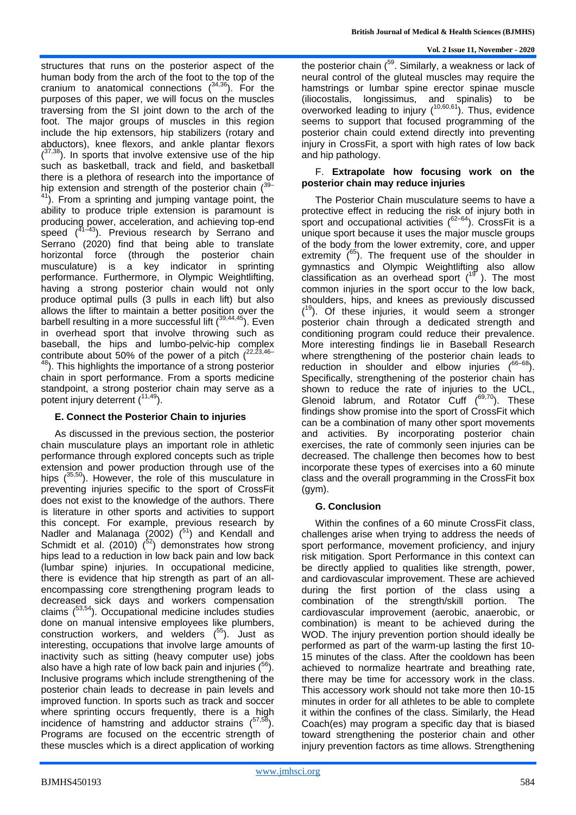structures that runs on the posterior aspect of the human body from the arch of the foot to the top of the cranium to anatomical connections  $(^{34,36})$ . For the purposes of this paper, we will focus on the muscles traversing from the SI joint down to the arch of the foot. The major groups of muscles in this region include the hip extensors, hip stabilizers (rotary and abductors), knee flexors, and ankle plantar flexors  $(37,38)$ . In sports that involve extensive use of the hip such as basketball, track and field, and basketball there is a plethora of research into the importance of hip extension and strength of the posterior chain  $(39 - 1)$ <sup>41</sup>). From a sprinting and jumping vantage point, the ability to produce triple extension is paramount is producing power, acceleration, and achieving top-end speed  $(47-43)$ . Previous research by Serrano and Serrano (2020) find that being able to translate horizontal force (through the posterior chain musculature) is a key indicator in sprinting performance. Furthermore, in Olympic Weightlifting, having a strong posterior chain would not only produce optimal pulls (3 pulls in each lift) but also allows the lifter to maintain a better position over the barbell resulting in a more successful lift (<sup>39,44,45</sup>). Even in overhead sport that involve throwing such as baseball, the hips and lumbo-pelvic-hip complex contribute about 50% of the power of a pitch  $(22.23, 46)$ <sup>48</sup>). This highlights the importance of a strong posterior

chain in sport performance. From a sports medicine standpoint, a strong posterior chain may serve as a potent injury deterrent ( 11,49).

# **E. Connect the Posterior Chain to injuries**

As discussed in the previous section, the posterior chain musculature plays an important role in athletic performance through explored concepts such as triple extension and power production through use of the hips  $(^{35,50})$ . However, the role of this musculature in preventing injuries specific to the sport of CrossFit does not exist to the knowledge of the authors. There is literature in other sports and activities to support this concept. For example, previous research by Nadler and Malanaga  $(2002)$   $(^{51})$  and Kendall and Schmidt et al. (2010)  $(52)$  demonstrates how strong hips lead to a reduction in low back pain and low back (lumbar spine) injuries. In occupational medicine, there is evidence that hip strength as part of an allencompassing core strengthening program leads to decreased sick days and workers compensation claims ( 53,54). Occupational medicine includes studies done on manual intensive employees like plumbers, construction workers, and welders ( <sup>55</sup>). Just as interesting, occupations that involve large amounts of inactivity such as sitting (heavy computer use) jobs also have a high rate of low back pain and injuries ( ግ. Inclusive programs which include strengthening of the posterior chain leads to decrease in pain levels and improved function. In sports such as track and soccer where sprinting occurs frequently, there is a high incidence of hamstring and adductor strains  $(^{57,58})$ . Programs are focused on the eccentric strength of these muscles which is a direct application of working

the posterior chain (<sup>59</sup>. Similarly, a weakness or lack of neural control of the gluteal muscles may require the hamstrings or lumbar spine erector spinae muscle (iliocostalis, longissimus, and spinalis) to be overworked leading to injury  $(^{10,60,61})$ . Thus, evidence seems to support that focused programming of the posterior chain could extend directly into preventing injury in CrossFit, a sport with high rates of low back and hip pathology.

# F. **Extrapolate how focusing work on the posterior chain may reduce injuries**

The Posterior Chain musculature seems to have a protective effect in reducing the risk of injury both in sport and occupational activities (<sup>62-64</sup>). CrossFit is a unique sport because it uses the major muscle groups of the body from the lower extremity, core, and upper extremity  $(65)$ . The frequent use of the shoulder in gymnastics and Olympic Weightlifting also allow classification as an overhead sport  $(^{19}$ ). The most common injuries in the sport occur to the low back, shoulders, hips, and knees as previously discussed  $(19)$ . Of these injuries, it would seem a stronger posterior chain through a dedicated strength and conditioning program could reduce their prevalence. More interesting findings lie in Baseball Research where strengthening of the posterior chain leads to reduction in shoulder and elbow injuries  $(66-68)$ . Specifically, strengthening of the posterior chain has shown to reduce the rate of injuries to the UCL, Glenoid labrum, and Rotator Cuff  $(^{69,70})$ . These findings show promise into the sport of CrossFit which can be a combination of many other sport movements and activities. By incorporating posterior chain exercises, the rate of commonly seen injuries can be decreased. The challenge then becomes how to best incorporate these types of exercises into a 60 minute class and the overall programming in the CrossFit box (gym).

# **G. Conclusion**

Within the confines of a 60 minute CrossFit class, challenges arise when trying to address the needs of sport performance, movement proficiency, and injury risk mitigation. Sport Performance in this context can be directly applied to qualities like strength, power, and cardiovascular improvement. These are achieved during the first portion of the class using a combination of the strength/skill portion. The cardiovascular improvement (aerobic, anaerobic, or combination) is meant to be achieved during the WOD. The injury prevention portion should ideally be performed as part of the warm-up lasting the first 10- 15 minutes of the class. After the cooldown has been achieved to normalize heartrate and breathing rate, there may be time for accessory work in the class. This accessory work should not take more then 10-15 minutes in order for all athletes to be able to complete it within the confines of the class. Similarly, the Head Coach(es) may program a specific day that is biased toward strengthening the posterior chain and other injury prevention factors as time allows. Strengthening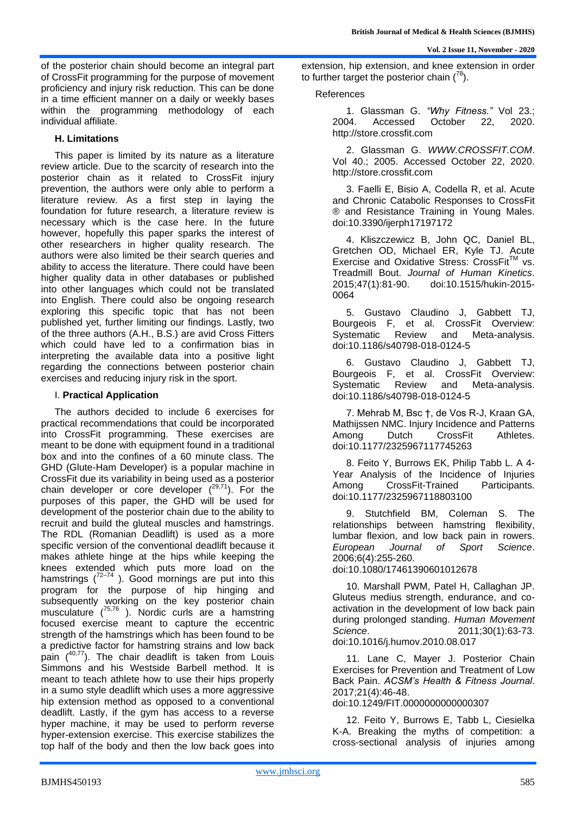of the posterior chain should become an integral part of CrossFit programming for the purpose of movement proficiency and injury risk reduction. This can be done in a time efficient manner on a daily or weekly bases within the programming methodology of each individual affiliate.

# **H. Limitations**

This paper is limited by its nature as a literature review article. Due to the scarcity of research into the posterior chain as it related to CrossFit injury prevention, the authors were only able to perform a literature review. As a first step in laying the foundation for future research, a literature review is necessary which is the case here. In the future however, hopefully this paper sparks the interest of other researchers in higher quality research. The authors were also limited be their search queries and ability to access the literature. There could have been higher quality data in other databases or published into other languages which could not be translated into English. There could also be ongoing research exploring this specific topic that has not been published yet, further limiting our findings. Lastly, two of the three authors (A.H., B.S.) are avid Cross Fitters which could have led to a confirmation bias in interpreting the available data into a positive light regarding the connections between posterior chain exercises and reducing injury risk in the sport.

# I. **Practical Application**

The authors decided to include 6 exercises for practical recommendations that could be incorporated into CrossFit programming. These exercises are meant to be done with equipment found in a traditional box and into the confines of a 60 minute class. The GHD (Glute-Ham Developer) is a popular machine in CrossFit due its variability in being used as a posterior chain developer or core developer  $(^{29,71})$ . For the purposes of this paper, the GHD will be used for development of the posterior chain due to the ability to recruit and build the gluteal muscles and hamstrings. The RDL (Romanian Deadlift) is used as a more specific version of the conventional deadlift because it makes athlete hinge at the hips while keeping the knees extended which puts more load on the hamstrings  $\binom{72-74}{ }$ . Good mornings are put into this program for the purpose of hip hinging and subsequently working on the key posterior chain musculature ( 75,76 ). Nordic curls are a hamstring focused exercise meant to capture the eccentric strength of the hamstrings which has been found to be a predictive factor for hamstring strains and low back pain (<sup>40,77</sup>). The chair deadlift is taken from Louis Simmons and his Westside Barbell method. It is meant to teach athlete how to use their hips properly in a sumo style deadlift which uses a more aggressive hip extension method as opposed to a conventional deadlift. Lastly, if the gym has access to a reverse hyper machine, it may be used to perform reverse hyper-extension exercise. This exercise stabilizes the top half of the body and then the low back goes into

extension, hip extension, and knee extension in order to further target the posterior chain  $(^{78})$ .

#### References

1. Glassman G. *"Why Fitness."* Vol 23.; 2004. Accessed October 22, 2020. http://store.crossfit.com

2. Glassman G. *WWW.CROSSFIT.COM*. Vol 40.; 2005. Accessed October 22, 2020. http://store.crossfit.com

3. Faelli E, Bisio A, Codella R, et al. Acute and Chronic Catabolic Responses to CrossFit ® and Resistance Training in Young Males. doi:10.3390/ijerph17197172

4. Kliszczewicz B, John QC, Daniel BL, Gretchen OD, Michael ER, Kyle TJ. Acute Exercise and Oxidative Stress: CrossFit™ vs. Treadmill Bout. *Journal of Human Kinetics*. 2015;47(1):81-90. doi:10.1515/hukin-2015- 0064

5. Gustavo Claudino J, Gabbett TJ, Bourgeois F, et al. CrossFit Overview: Systematic Review and Meta-analysis. doi:10.1186/s40798-018-0124-5

6. Gustavo Claudino J, Gabbett TJ, Bourgeois F, et al. CrossFit Overview: Systematic Review and Meta-analysis. doi:10.1186/s40798-018-0124-5

7. Mehrab M, Bsc †, de Vos R-J, Kraan GA, Mathijssen NMC. Injury Incidence and Patterns Among Dutch CrossFit Athletes. doi:10.1177/2325967117745263

8. Feito Y, Burrows EK, Philip Tabb L. A 4- Year Analysis of the Incidence of Injuries Among CrossFit-Trained Participants. doi:10.1177/2325967118803100

9. Stutchfield BM, Coleman S. The relationships between hamstring flexibility, lumbar flexion, and low back pain in rowers. *European Journal of Sport Science*. 2006;6(4):255-260.

doi:10.1080/17461390601012678

10. Marshall PWM, Patel H, Callaghan JP. Gluteus medius strength, endurance, and coactivation in the development of low back pain during prolonged standing. *Human Movement Science*. 2011;30(1):63-73. doi:10.1016/j.humov.2010.08.017

11. Lane C, Mayer J. Posterior Chain Exercises for Prevention and Treatment of Low Back Pain. *ACSM's Health & Fitness Journal*. 2017;21(4):46-48. doi:10.1249/FIT.0000000000000307

12. Feito Y, Burrows E, Tabb L, Ciesielka K-A. Breaking the myths of competition: a cross-sectional analysis of injuries among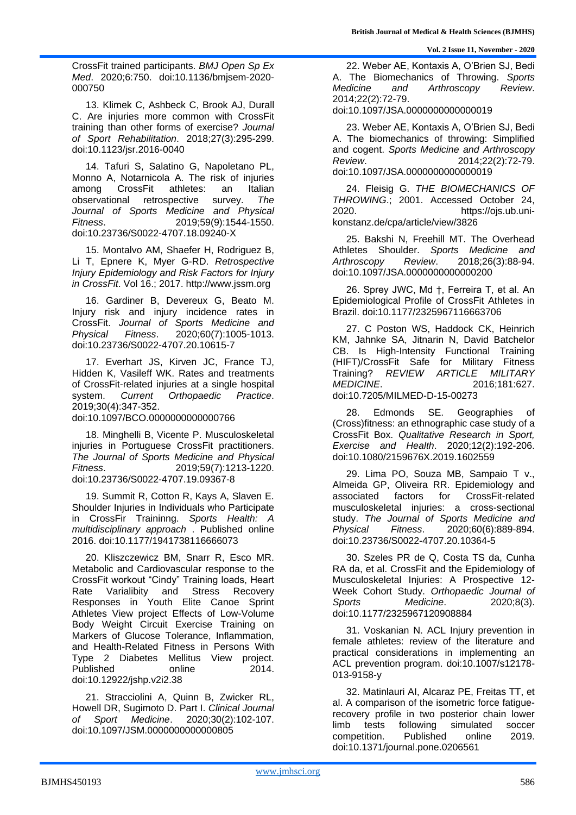CrossFit trained participants. *BMJ Open Sp Ex Med*. 2020;6:750. doi:10.1136/bmjsem-2020- 000750

13. Klimek C, Ashbeck C, Brook AJ, Durall C. Are injuries more common with CrossFit training than other forms of exercise? *Journal of Sport Rehabilitation*. 2018;27(3):295-299. doi:10.1123/jsr.2016-0040

14. Tafuri S, Salatino G, Napoletano PL, Monno A, Notarnicola A. The risk of injuries among CrossFit athletes: an Italian observational retrospective survey. *The Journal of Sports Medicine and Physical Fitness*. 2019;59(9):1544-1550. doi:10.23736/S0022-4707.18.09240-X

15. Montalvo AM, Shaefer H, Rodriguez B, Li T, Epnere K, Myer G-RD. *Retrospective Injury Epidemiology and Risk Factors for Injury in CrossFit*. Vol 16.; 2017. http://www.jssm.org

16. Gardiner B, Devereux G, Beato M. Injury risk and injury incidence rates in CrossFit. *Journal of Sports Medicine and Physical Fitness*. 2020;60(7):1005-1013. doi:10.23736/S0022-4707.20.10615-7

17. Everhart JS, Kirven JC, France TJ, Hidden K, Vasileff WK. Rates and treatments of CrossFit-related injuries at a single hospital system. *Current Orthopaedic Practice*. 2019;30(4):347-352. doi:10.1097/BCO.0000000000000766

18. Minghelli B, Vicente P. Musculoskeletal injuries in Portuguese CrossFit practitioners. *The Journal of Sports Medicine and Physical Fitness*. 2019;59(7):1213-1220. doi:10.23736/S0022-4707.19.09367-8

19. Summit R, Cotton R, Kays A, Slaven E. Shoulder Injuries in Individuals who Participate in CrossFir Traininng. *Sports Health: A multidisciplinary approach* . Published online 2016. doi:10.1177/1941738116666073

20. Kliszczewicz BM, Snarr R, Esco MR. Metabolic and Cardiovascular response to the CrossFit workout "Cindy" Training loads, Heart Rate Varialibity and Stress Recovery Responses in Youth Elite Canoe Sprint Athletes View project Effects of Low-Volume Body Weight Circuit Exercise Training on Markers of Glucose Tolerance, Inflammation, and Health-Related Fitness in Persons With Type 2 Diabetes Mellitus View project. Published online 2014. doi:10.12922/jshp.v2i2.38

21. Stracciolini A, Quinn B, Zwicker RL, Howell DR, Sugimoto D. Part I. *Clinical Journal of Sport Medicine*. 2020;30(2):102-107. doi:10.1097/JSM.0000000000000805

22. Weber AE, Kontaxis A, O'Brien SJ, Bedi A. The Biomechanics of Throwing. *Sports Medicine and Arthroscopy Review*. 2014;22(2):72-79.

doi:10.1097/JSA.0000000000000019

23. Weber AE, Kontaxis A, O'Brien SJ, Bedi A. The biomechanics of throwing: Simplified and cogent. *Sports Medicine and Arthroscopy Review*. 2014;22(2):72-79. doi:10.1097/JSA.0000000000000019

24. Fleisig G. *THE BIOMECHANICS OF THROWING*.; 2001. Accessed October 24, 2020. https://ojs.ub.unikonstanz.de/cpa/article/view/3826

25. Bakshi N, Freehill MT. The Overhead Athletes Shoulder. *Sports Medicine and Arthroscopy Review*. 2018;26(3):88-94. doi:10.1097/JSA.0000000000000200

26. Sprey JWC, Md †, Ferreira T, et al. An Epidemiological Profile of CrossFit Athletes in Brazil. doi:10.1177/2325967116663706

27. C Poston WS, Haddock CK, Heinrich KM, Jahnke SA, Jitnarin N, David Batchelor CB. Is High-Intensity Functional Training (HIFT)/CrossFit Safe for Military Fitness Training? *REVIEW ARTICLE MILITARY MEDICINE*. 2016;181:627. doi:10.7205/MILMED-D-15-00273

Edmonds SE. Geographies of (Cross)fitness: an ethnographic case study of a CrossFit Box. *Qualitative Research in Sport, Exercise and Health*. 2020;12(2):192-206. doi:10.1080/2159676X.2019.1602559

29. Lima PO, Souza MB, Sampaio T v., Almeida GP, Oliveira RR. Epidemiology and associated factors for CrossFit-related musculoskeletal injuries: a cross-sectional study. *The Journal of Sports Medicine and Physical Fitness*. 2020;60(6):889-894. doi:10.23736/S0022-4707.20.10364-5

30. Szeles PR de Q, Costa TS da, Cunha RA da, et al. CrossFit and the Epidemiology of Musculoskeletal Injuries: A Prospective 12- Week Cohort Study. *Orthopaedic Journal of Sports Medicine*. 2020;8(3). doi:10.1177/2325967120908884

31. Voskanian N. ACL Injury prevention in female athletes: review of the literature and practical considerations in implementing an ACL prevention program. doi:10.1007/s12178- 013-9158-y

32. Matinlauri AI, Alcaraz PE, Freitas TT, et al. A comparison of the isometric force fatiguerecovery profile in two posterior chain lower limb tests following simulated soccer competition. Published online 2019. doi:10.1371/journal.pone.0206561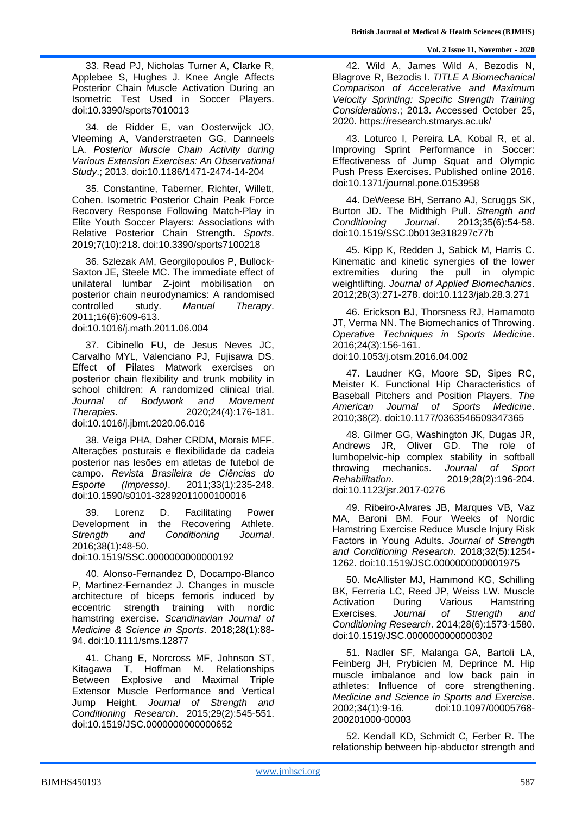33. Read PJ, Nicholas Turner A, Clarke R, Applebee S, Hughes J. Knee Angle Affects Posterior Chain Muscle Activation During an Isometric Test Used in Soccer Players. doi:10.3390/sports7010013

34. de Ridder E, van Oosterwijck JO, Vleeming A, Vanderstraeten GG, Danneels LA. *Posterior Muscle Chain Activity during Various Extension Exercises: An Observational Study*.; 2013. doi:10.1186/1471-2474-14-204

35. Constantine, Taberner, Richter, Willett, Cohen. Isometric Posterior Chain Peak Force Recovery Response Following Match-Play in Elite Youth Soccer Players: Associations with Relative Posterior Chain Strength. *Sports*. 2019;7(10):218. doi:10.3390/sports7100218

36. Szlezak AM, Georgilopoulos P, Bullock-Saxton JE, Steele MC. The immediate effect of unilateral lumbar Z-joint mobilisation on posterior chain neurodynamics: A randomised controlled study. *Manual Therapy*. 2011;16(6):609-613.

doi:10.1016/j.math.2011.06.004

37. Cibinello FU, de Jesus Neves JC, Carvalho MYL, Valenciano PJ, Fujisawa DS. Effect of Pilates Matwork exercises on posterior chain flexibility and trunk mobility in school children: A randomized clinical trial. *Journal of Bodywork and Movement Therapies*. 2020;24(4):176-181. doi:10.1016/j.jbmt.2020.06.016

38. Veiga PHA, Daher CRDM, Morais MFF. Alterações posturais e flexibilidade da cadeia posterior nas lesões em atletas de futebol de campo. *Revista Brasileira de Ciências do Esporte (Impresso)*. 2011;33(1):235-248. doi:10.1590/s0101-32892011000100016

39. Lorenz D. Facilitating Power Development in the Recovering Athlete. *Strength and Conditioning Journal*. 2016;38(1):48-50.

doi:10.1519/SSC.0000000000000192

40. Alonso-Fernandez D, Docampo-Blanco P, Martinez-Fernandez J. Changes in muscle architecture of biceps femoris induced by eccentric strength training with nordic hamstring exercise. *Scandinavian Journal of Medicine & Science in Sports*. 2018;28(1):88- 94. doi:10.1111/sms.12877

41. Chang E, Norcross MF, Johnson ST, Kitagawa T, Hoffman M. Relationships Between Explosive and Maximal Triple Extensor Muscle Performance and Vertical Jump Height. *Journal of Strength and Conditioning Research*. 2015;29(2):545-551. doi:10.1519/JSC.0000000000000652

42. Wild A, James Wild A, Bezodis N, Blagrove R, Bezodis I. *TITLE A Biomechanical Comparison of Accelerative and Maximum Velocity Sprinting: Specific Strength Training Considerations*.; 2013. Accessed October 25, 2020. https://research.stmarys.ac.uk/

43. Loturco I, Pereira LA, Kobal R, et al. Improving Sprint Performance in Soccer: Effectiveness of Jump Squat and Olympic Push Press Exercises. Published online 2016. doi:10.1371/journal.pone.0153958

44. DeWeese BH, Serrano AJ, Scruggs SK, Burton JD. The Midthigh Pull. *Strength and Conditioning Journal*. 2013;35(6):54-58. doi:10.1519/SSC.0b013e318297c77b

45. Kipp K, Redden J, Sabick M, Harris C. Kinematic and kinetic synergies of the lower extremities during the pull in olympic weightlifting. *Journal of Applied Biomechanics*. 2012;28(3):271-278. doi:10.1123/jab.28.3.271

46. Erickson BJ, Thorsness RJ, Hamamoto JT, Verma NN. The Biomechanics of Throwing. *Operative Techniques in Sports Medicine*. 2016;24(3):156-161.

doi:10.1053/j.otsm.2016.04.002

47. Laudner KG, Moore SD, Sipes RC, Meister K. Functional Hip Characteristics of Baseball Pitchers and Position Players. *The American Journal of Sports Medicine*. 2010;38(2). doi:10.1177/0363546509347365

48. Gilmer GG, Washington JK, Dugas JR, Andrews JR, Oliver GD. The role of lumbopelvic-hip complex stability in softball throwing mechanics. *Journal of Sport Rehabilitation*. 2019;28(2):196-204. doi:10.1123/jsr.2017-0276

49. Ribeiro-Alvares JB, Marques VB, Vaz MA, Baroni BM. Four Weeks of Nordic Hamstring Exercise Reduce Muscle Injury Risk Factors in Young Adults. *Journal of Strength and Conditioning Research*. 2018;32(5):1254- 1262. doi:10.1519/JSC.0000000000001975

50. McAllister MJ, Hammond KG, Schilling BK, Ferreria LC, Reed JP, Weiss LW. Muscle Activation During Various Hamstring Exercises. *Journal of Strength and Conditioning Research*. 2014;28(6):1573-1580. doi:10.1519/JSC.0000000000000302

51. Nadler SF, Malanga GA, Bartoli LA, Feinberg JH, Prybicien M, Deprince M. Hip muscle imbalance and low back pain in athletes: Influence of core strengthening. *Medicine and Science in Sports and Exercise*. 2002;34(1):9-16. doi:10.1097/00005768- 200201000-00003

52. Kendall KD, Schmidt C, Ferber R. The relationship between hip-abductor strength and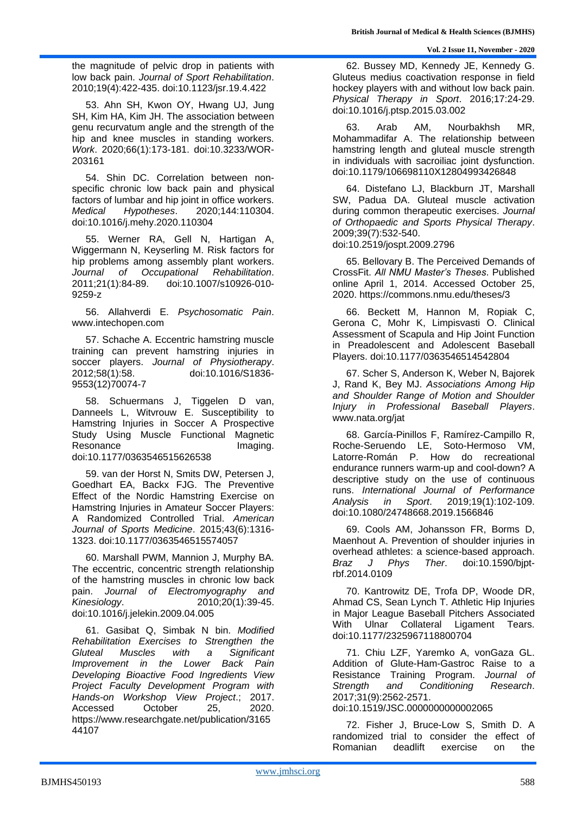the magnitude of pelvic drop in patients with low back pain. *Journal of Sport Rehabilitation*. 2010;19(4):422-435. doi:10.1123/jsr.19.4.422

53. Ahn SH, Kwon OY, Hwang UJ, Jung SH, Kim HA, Kim JH. The association between genu recurvatum angle and the strength of the hip and knee muscles in standing workers. *Work*. 2020;66(1):173-181. doi:10.3233/WOR-203161

54. Shin DC. Correlation between nonspecific chronic low back pain and physical factors of lumbar and hip joint in office workers. *Medical Hypotheses*. 2020;144:110304. doi:10.1016/j.mehy.2020.110304

55. Werner RA, Gell N, Hartigan A, Wiggermann N, Keyserling M. Risk factors for hip problems among assembly plant workers. *Journal of Occupational Rehabilitation*. 2011;21(1):84-89. doi:10.1007/s10926-010- 9259-z

56. Allahverdi E. *Psychosomatic Pain*. www.intechopen.com

57. Schache A. Eccentric hamstring muscle training can prevent hamstring injuries in soccer players. *Journal of Physiotherapy*. 2012;58(1):58. doi:10.1016/S1836- 9553(12)70074-7

58. Schuermans J, Tiggelen D van, Danneels L, Witvrouw E. Susceptibility to Hamstring Injuries in Soccer A Prospective Study Using Muscle Functional Magnetic Resonance Imaging. doi:10.1177/0363546515626538

59. van der Horst N, Smits DW, Petersen J, Goedhart EA, Backx FJG. The Preventive Effect of the Nordic Hamstring Exercise on Hamstring Injuries in Amateur Soccer Players: A Randomized Controlled Trial. *American Journal of Sports Medicine*. 2015;43(6):1316- 1323. doi:10.1177/0363546515574057

60. Marshall PWM, Mannion J, Murphy BA. The eccentric, concentric strength relationship of the hamstring muscles in chronic low back pain. *Journal of Electromyography and Kinesiology*. 2010;20(1):39-45. doi:10.1016/j.jelekin.2009.04.005

61. Gasibat Q, Simbak N bin. *Modified Rehabilitation Exercises to Strengthen the Gluteal Muscles with a Significant Improvement in the Lower Back Pain Developing Bioactive Food Ingredients View Project Faculty Development Program with Hands-on Workshop View Project*.; 2017. Accessed October 25, 2020. https://www.researchgate.net/publication/3165 44107

62. Bussey MD, Kennedy JE, Kennedy G. Gluteus medius coactivation response in field hockey players with and without low back pain. *Physical Therapy in Sport*. 2016;17:24-29. doi:10.1016/j.ptsp.2015.03.002

63. Arab AM, Nourbakhsh MR, Mohammadifar A. The relationship between hamstring length and gluteal muscle strength in individuals with sacroiliac joint dysfunction. doi:10.1179/106698110X12804993426848

64. Distefano LJ, Blackburn JT, Marshall SW, Padua DA. Gluteal muscle activation during common therapeutic exercises. *Journal of Orthopaedic and Sports Physical Therapy*. 2009;39(7):532-540.

doi:10.2519/jospt.2009.2796

65. Bellovary B. The Perceived Demands of CrossFit. *All NMU Master's Theses*. Published online April 1, 2014. Accessed October 25, 2020. https://commons.nmu.edu/theses/3

66. Beckett M, Hannon M, Ropiak C, Gerona C, Mohr K, Limpisvasti O. Clinical Assessment of Scapula and Hip Joint Function in Preadolescent and Adolescent Baseball Players. doi:10.1177/0363546514542804

67. Scher S, Anderson K, Weber N, Bajorek J, Rand K, Bey MJ. *Associations Among Hip and Shoulder Range of Motion and Shoulder Injury in Professional Baseball Players*. www.nata.org/jat

68. García-Pinillos F, Ramírez-Campillo R, Roche-Seruendo LE, Soto-Hermoso VM, Latorre-Román P. How do recreational endurance runners warm-up and cool-down? A descriptive study on the use of continuous runs. *International Journal of Performance Analysis in Sport*. 2019;19(1):102-109. doi:10.1080/24748668.2019.1566846

69. Cools AM, Johansson FR, Borms D, Maenhout A. Prevention of shoulder injuries in overhead athletes: a science-based approach. *Braz J Phys Ther*. doi:10.1590/bjptrbf.2014.0109

70. Kantrowitz DE, Trofa DP, Woode DR, Ahmad CS, Sean Lynch T. Athletic Hip Injuries in Major League Baseball Pitchers Associated With Ulnar Collateral Ligament Tears. doi:10.1177/2325967118800704

71. Chiu LZF, Yaremko A, vonGaza GL. Addition of Glute-Ham-Gastroc Raise to a Resistance Training Program. *Journal of Strength and Conditioning Research*. 2017;31(9):2562-2571. doi:10.1519/JSC.0000000000002065

72. Fisher J, Bruce-Low S, Smith D. A randomized trial to consider the effect of Romanian deadlift exercise on the